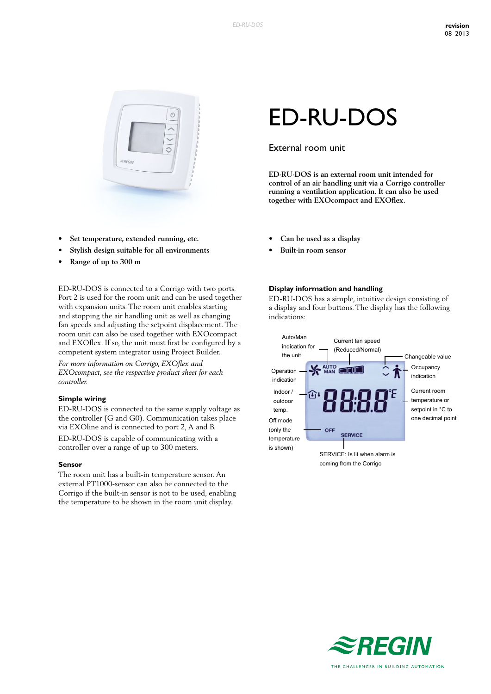

- $Set$  **temperature**, **extended running**, **etc.**
- **• Stylish design suitable for all environments**
- **• Range of up to 300 m**

ED-RU-DOS is connected to a Corrigo with two ports. Port 2 is used for the room unit and can be used together with expansion units. The room unit enables starting and stopping the air handling unit as well as changing fan speeds and adjusting the setpoint displacement. The room unit can also be used together with EXOcompact and EXOflex. If so, the unit must first be configured by a competent system integrator using Project Builder. *For more information on Corrigo, EXOflex and* 

*EXOcompact, see the respective product sheet for each controller.*

#### **Simple wiring**

ED-RU-DOS is connected to the same supply voltage as the controller (G and G0). Communication takes place via EXOline and is connected to port 2, A and B.

ED-RU-DOS is capable of communicating with a controller over a range of up to 300 meters.

#### **Sensor**

The room unit has a built-in temperature sensor. An external PT1000-sensor can also be connected to the Corrigo if the built-in sensor is not to be used, enabling the temperature to be shown in the room unit display.

# ED-RU-DOS

## External room unit

**ED-RU-DOS is an external room unit intended for control of an air handling unit via a Corrigo controller running a ventilation application. It can also be used together with EXOcompact and EXOflex.**

- **• Can be used as a display**
- **• Built-in room sensor**

#### **Display information and handling**

ED-RU-DOS has a simple, intuitive design consisting of a display and four buttons. The display has the following indications:



coming from the Corrigo

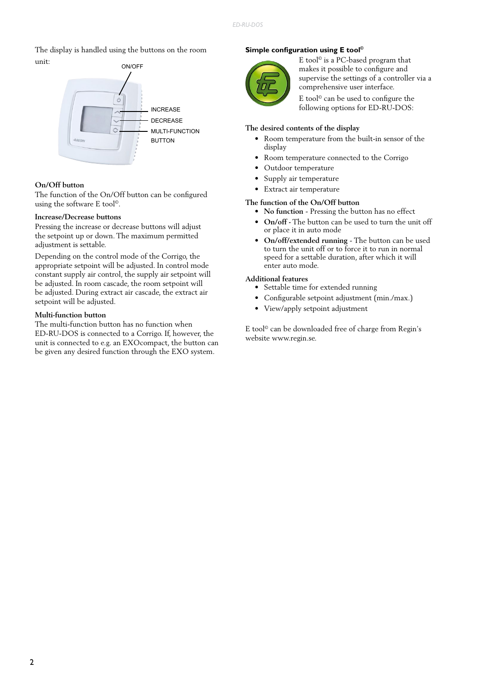The display is handled using the buttons on the room unit:



## **On/Off button**

The function of the On/Off button can be configured using the software E tool©.

#### **Increase/Decrease buttons**

Pressing the increase or decrease buttons will adjust the setpoint up or down. The maximum permitted adjustment is settable.

Depending on the control mode of the Corrigo, the appropriate setpoint will be adjusted. In control mode constant supply air control, the supply air setpoint will be adjusted. In room cascade, the room setpoint will be adjusted. During extract air cascade, the extract air setpoint will be adjusted.

### **Multi-function button**

The multi-function button has no function when ED-RU-DOS is connected to a Corrigo. If, however, the unit is connected to e.g. an EXOcompact, the button can be given any desired function through the EXO system.

## **Simple configuration using E tool©**



E tool© is a PC-based program that makes it possible to configure and supervise the settings of a controller via a comprehensive user interface.

E tool© can be used to configure the following options for ED-RU-DOS:

#### **The desired contents of the display**

- Room temperature from the built-in sensor of the display
- Room temperature connected to the Corrigo
- Outdoor temperature
- Supply air temperature
- Extract air temperature

## **The function of the On/Off button**

- **• No function** Pressing the button has no effect
- **• On/off -** The button can be used to turn the unit off or place it in auto mode
- **• On/off/extended running** The button can be used to turn the unit off or to force it to run in normal speed for a settable duration, after which it will enter auto mode.

## **Additional features**

- Settable time for extended running
- Configurable setpoint adjustment (min./max.)
- View/apply setpoint adjustment

E tool© can be downloaded free of charge from Regin's website www.regin.se.